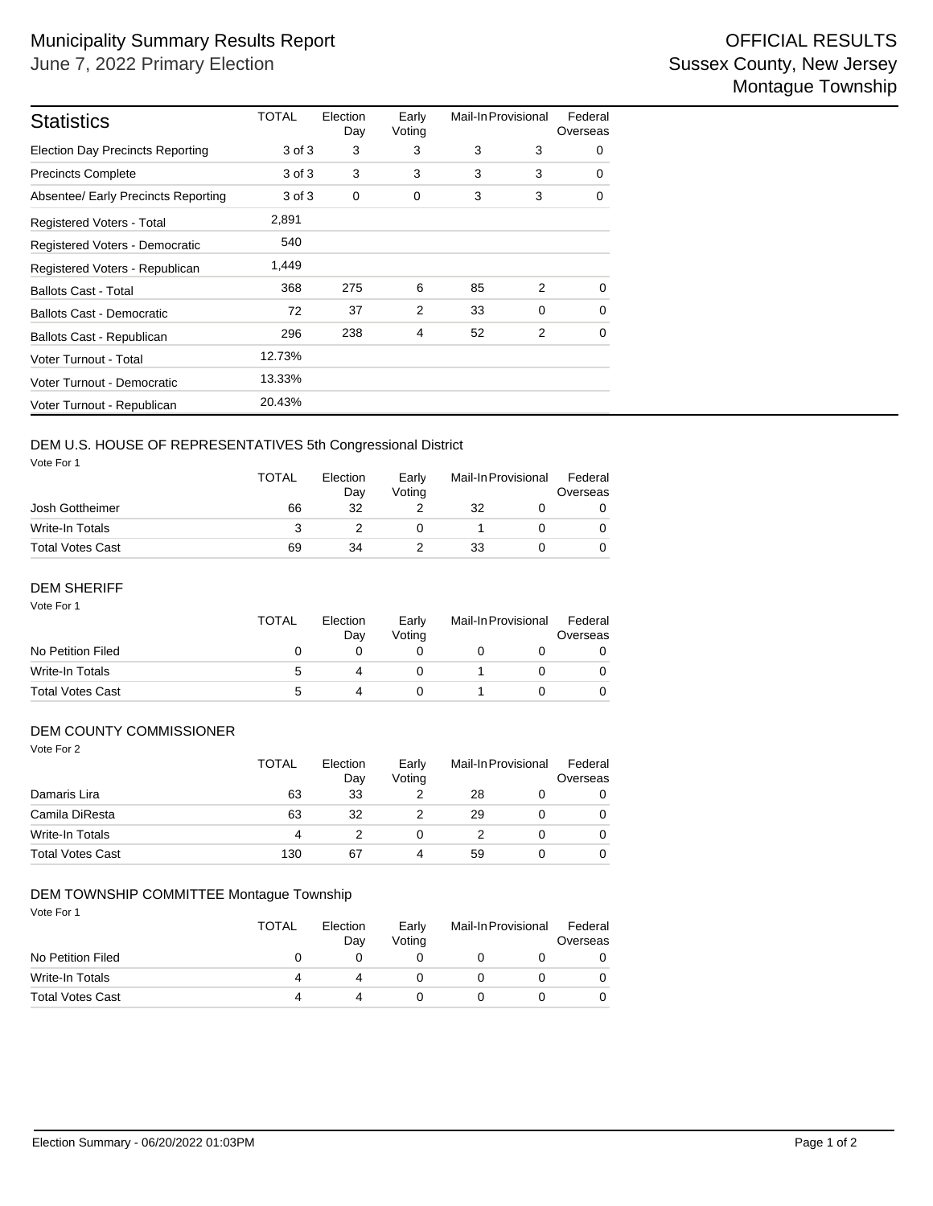| <b>Statistics</b>                       | TOTAL  | Election<br>Day | Early<br>Voting | Mail-In Provisional |          | Federal<br>Overseas |  |
|-----------------------------------------|--------|-----------------|-----------------|---------------------|----------|---------------------|--|
| <b>Election Day Precincts Reporting</b> | 3 of 3 | 3               | 3               | 3                   | 3        | 0                   |  |
| <b>Precincts Complete</b>               | 3 of 3 | 3               | 3               | 3                   | 3        | $\Omega$            |  |
| Absentee/ Early Precincts Reporting     | 3 of 3 | 0               | 0               | 3                   | 3        | 0                   |  |
| Registered Voters - Total               | 2,891  |                 |                 |                     |          |                     |  |
| Registered Voters - Democratic          | 540    |                 |                 |                     |          |                     |  |
| Registered Voters - Republican          | 1,449  |                 |                 |                     |          |                     |  |
| <b>Ballots Cast - Total</b>             | 368    | 275             | 6               | 85                  | 2        | $\Omega$            |  |
| <b>Ballots Cast - Democratic</b>        | 72     | 37              | 2               | 33                  | $\Omega$ | $\Omega$            |  |
| Ballots Cast - Republican               | 296    | 238             | 4               | 52                  | 2        | 0                   |  |
| Voter Turnout - Total                   | 12.73% |                 |                 |                     |          |                     |  |
| Voter Turnout - Democratic              | 13.33% |                 |                 |                     |          |                     |  |
| Voter Turnout - Republican              | 20.43% |                 |                 |                     |          |                     |  |

# DEM U.S. HOUSE OF REPRESENTATIVES 5th Congressional District

Vote For 1

|                         | <b>TOTAL</b> | Election<br>Dav<br>32 | Early<br>Votina | Mail-In Provisional |  | Federal<br>Overseas |  |
|-------------------------|--------------|-----------------------|-----------------|---------------------|--|---------------------|--|
| Josh Gottheimer         | 66           |                       |                 | 32                  |  |                     |  |
| Write-In Totals         |              |                       |                 |                     |  |                     |  |
| <b>Total Votes Cast</b> | 69           | 34                    |                 | 33                  |  |                     |  |

### Vote For 1 DEM SHERIFF

|                         | <b>TOTAL</b> | Election<br>Dav | Early<br>Votina | Mail-In Provisional |  | Federal<br>Overseas |  |
|-------------------------|--------------|-----------------|-----------------|---------------------|--|---------------------|--|
| No Petition Filed       | $\mathbf{0}$ |                 |                 |                     |  |                     |  |
| Write-In Totals         | :5           |                 |                 |                     |  |                     |  |
| <b>Total Votes Cast</b> | ∽            |                 |                 |                     |  |                     |  |

### DEM COUNTY COMMISSIONER

| Vote For 2              | <b>TOTAL</b> | Election<br>Day | Early<br>Voting | Mail-In Provisional |          | Federal<br>Overseas |
|-------------------------|--------------|-----------------|-----------------|---------------------|----------|---------------------|
| Damaris Lira            | 63           | 33              | 2               | 28                  |          | 0                   |
| Camila DiResta          | 63           | 32              |                 | 29                  |          | 0                   |
| <b>Write-In Totals</b>  | 4            |                 | 0               | 2                   | $\Omega$ | 0                   |
| <b>Total Votes Cast</b> | 130          | 67              | 4               | 59                  |          | 0                   |

### DEM TOWNSHIP COMMITTEE Montague Township

Vote For 1

|                         | <b>TOTAL</b><br>Election<br>Dav |  | Early<br>Votina | Mail-In Provisional |  | Federal<br>Overseas |  |
|-------------------------|---------------------------------|--|-----------------|---------------------|--|---------------------|--|
| No Petition Filed       |                                 |  |                 |                     |  |                     |  |
| Write-In Totals         | 4                               |  |                 |                     |  | 0                   |  |
| <b>Total Votes Cast</b> | 4                               |  |                 |                     |  | 0                   |  |